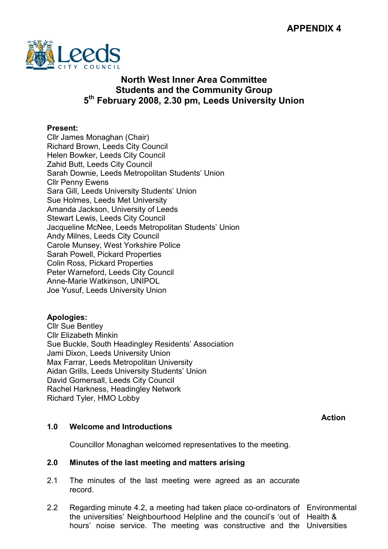

# North West Inner Area Committee Students and the Community Group 5<sup>th</sup> February 2008, 2.30 pm, Leeds University Union

## Present:

Cllr James Monaghan (Chair) Richard Brown, Leeds City Council Helen Bowker, Leeds City Council Zahid Butt, Leeds City Council Sarah Downie, Leeds Metropolitan Students' Union Cllr Penny Ewens Sara Gill, Leeds University Students' Union Sue Holmes, Leeds Met University Amanda Jackson, University of Leeds Stewart Lewis, Leeds City Council Jacqueline McNee, Leeds Metropolitan Students' Union Andy Milnes, Leeds City Council Carole Munsey, West Yorkshire Police Sarah Powell, Pickard Properties Colin Ross, Pickard Properties Peter Warneford, Leeds City Council Anne-Marie Watkinson, UNIPOL Joe Yusuf, Leeds University Union

# Apologies:

Cllr Sue Bentley Cllr Elizabeth Minkin Sue Buckle, South Headingley Residents' Association Jami Dixon, Leeds University Union Max Farrar, Leeds Metropolitan University Aidan Grills, Leeds University Students' Union David Gomersall, Leeds City Council Rachel Harkness, Headingley Network Richard Tyler, HMO Lobby

Action

# 1.0 Welcome and Introductions

Councillor Monaghan welcomed representatives to the meeting.

### 2.0 Minutes of the last meeting and matters arising

- 2.1 The minutes of the last meeting were agreed as an accurate record.
- 2.2 Regarding minute 4.2, a meeting had taken place co-ordinators of Environmental the universities' Neighbourhood Helpline and the council's 'out of Health & hours' noise service. The meeting was constructive and the Universities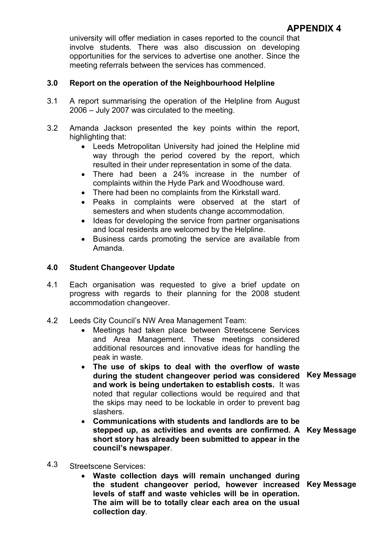university will offer mediation in cases reported to the council that involve students. There was also discussion on developing opportunities for the services to advertise one another. Since the meeting referrals between the services has commenced.

## 3.0 Report on the operation of the Neighbourhood Helpline

- 3.1 A report summarising the operation of the Helpline from August 2006 – July 2007 was circulated to the meeting.
- 3.2 Amanda Jackson presented the key points within the report, highlighting that:
	- Leeds Metropolitan University had joined the Helpline mid way through the period covered by the report, which resulted in their under representation in some of the data.
	- There had been a 24% increase in the number of complaints within the Hyde Park and Woodhouse ward.
	- There had been no complaints from the Kirkstall ward.
	- Peaks in complaints were observed at the start of semesters and when students change accommodation.
	- Ideas for developing the service from partner organisations and local residents are welcomed by the Helpline.
	- Business cards promoting the service are available from Amanda.

## 4.0 Student Changeover Update

- 4.1 Each organisation was requested to give a brief update on progress with regards to their planning for the 2008 student accommodation changeover.
- 4.2 Leeds City Council's NW Area Management Team:
	- Meetings had taken place between Streetscene Services and Area Management. These meetings considered additional resources and innovative ideas for handling the peak in waste.
	- The use of skips to deal with the overflow of waste during the student changeover period was considered Key Message and work is being undertaken to establish costs. It was noted that regular collections would be required and that the skips may need to be lockable in order to prevent bag slashers.
	- Communications with students and landlords are to be stepped up, as activities and events are confirmed. A Key Message short story has already been submitted to appear in the council's newspaper.
- -

- 4.3 Streetscene Services:
	- Waste collection days will remain unchanged during the student changeover period, however increased Key Message levels of staff and waste vehicles will be in operation. The aim will be to totally clear each area on the usual collection day.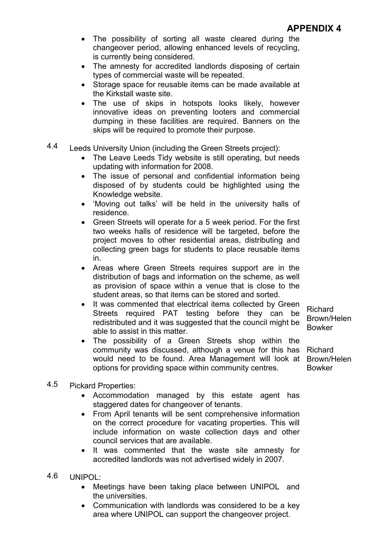- The possibility of sorting all waste cleared during the changeover period, allowing enhanced levels of recycling, is currently being considered.
- The amnesty for accredited landlords disposing of certain types of commercial waste will be repeated.
- Storage space for reusable items can be made available at the Kirkstall waste site.
- The use of skips in hotspots looks likely, however innovative ideas on preventing looters and commercial dumping in these facilities are required. Banners on the skips will be required to promote their purpose.
- 4.4 Leeds University Union (including the Green Streets project):
	- The Leave Leeds Tidy website is still operating, but needs updating with information for 2008.
	- The issue of personal and confidential information being disposed of by students could be highlighted using the Knowledge website.
	- 'Moving out talks' will be held in the university halls of residence.
	- Green Streets will operate for a 5 week period. For the first two weeks halls of residence will be targeted, before the project moves to other residential areas, distributing and collecting green bags for students to place reusable items in.
	- Areas where Green Streets requires support are in the distribution of bags and information on the scheme, as well as provision of space within a venue that is close to the student areas, so that items can be stored and sorted.
	- It was commented that electrical items collected by Green Streets required PAT testing before they can be redistributed and it was suggested that the council might be able to assist in this matter.
	- The possibility of a Green Streets shop within the community was discussed, although a venue for this has Richard would need to be found. Area Management will look at Brown/Helen options for providing space within community centres.
- Brown/Helen Bowker

Richard

Bowker

- 4.5 Pickard Properties:
	- Accommodation managed by this estate agent has staggered dates for changeover of tenants.
	- From April tenants will be sent comprehensive information on the correct procedure for vacating properties. This will include information on waste collection days and other council services that are available.
	- It was commented that the waste site amnesty for accredited landlords was not advertised widely in 2007.
- 4.6 UNIPOL:
	- Meetings have been taking place between UNIPOL and the universities.
	- Communication with landlords was considered to be a key area where UNIPOL can support the changeover project.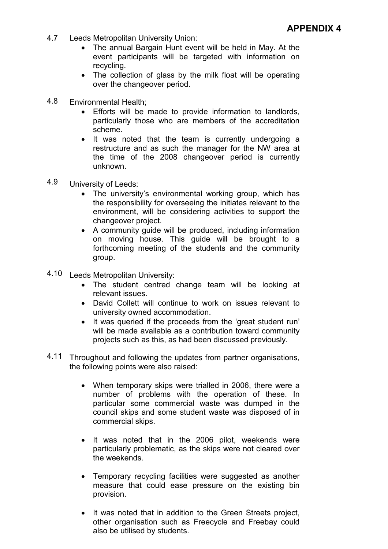- 4.7 Leeds Metropolitan University Union:
	- The annual Bargain Hunt event will be held in May. At the event participants will be targeted with information on recycling.
	- The collection of glass by the milk float will be operating over the changeover period.
- 4.8 Environmental Health;
	- Efforts will be made to provide information to landlords, particularly those who are members of the accreditation scheme.
	- It was noted that the team is currently undergoing a restructure and as such the manager for the NW area at the time of the 2008 changeover period is currently unknown.
- 4.9 University of Leeds:
	- The university's environmental working group, which has the responsibility for overseeing the initiates relevant to the environment, will be considering activities to support the changeover project.
	- A community guide will be produced, including information on moving house. This guide will be brought to a forthcoming meeting of the students and the community group.
- 4.10 Leeds Metropolitan University:
	- The student centred change team will be looking at relevant issues.
	- David Collett will continue to work on issues relevant to university owned accommodation.
	- It was queried if the proceeds from the 'great student run' will be made available as a contribution toward community projects such as this, as had been discussed previously.
- 4.11 Throughout and following the updates from partner organisations, the following points were also raised:
	- When temporary skips were trialled in 2006, there were a number of problems with the operation of these. In particular some commercial waste was dumped in the council skips and some student waste was disposed of in commercial skips.
	- It was noted that in the 2006 pilot, weekends were particularly problematic, as the skips were not cleared over the weekends.
	- Temporary recycling facilities were suggested as another measure that could ease pressure on the existing bin provision.
	- It was noted that in addition to the Green Streets project, other organisation such as Freecycle and Freebay could also be utilised by students.